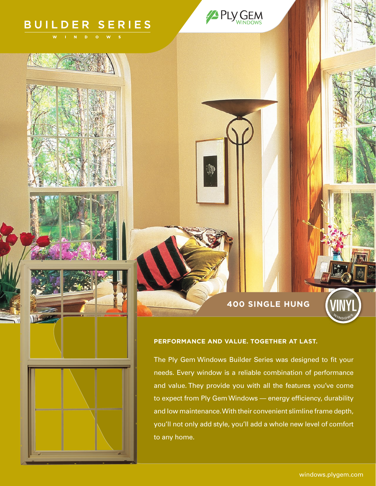# **BUILDER SERIES**

## **400 SINGLE HUNG**

# **PERFORMANCE AND VALUE. TOGETHER AT LAST.**

PLY GEM

The Ply Gem Windows Builder Series was designed to fit your needs. Every window is a reliable combination of performance and value. They provide you with all the features you've come to expect from Ply Gem Windows — energy efficiency, durability and low maintenance. With their convenient slimline frame depth, you'll not only add style, you'll add a whole new level of comfort to any home.